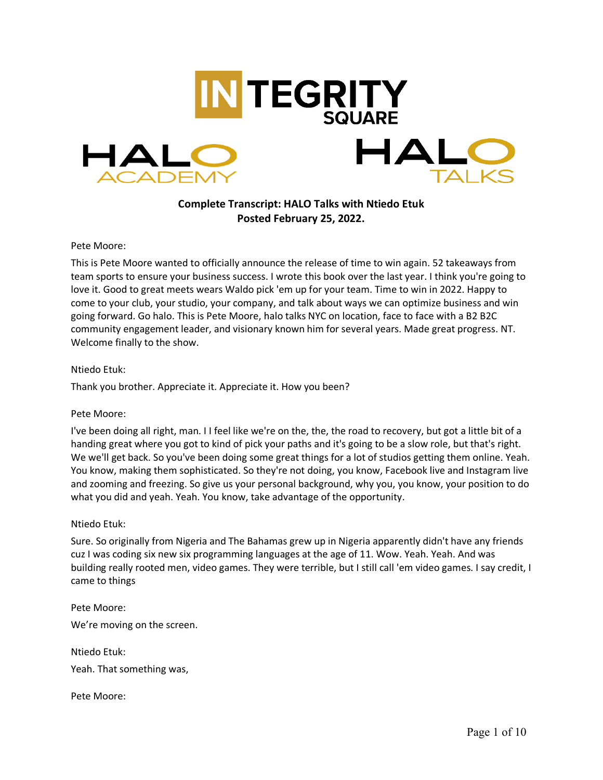

# **Complete Transcript: HALO Talks with Ntiedo Etuk Posted February 25, 2022.**

## Pete Moore:

This is Pete Moore wanted to officially announce the release of time to win again. 52 takeaways from team sports to ensure your business success. I wrote this book over the last year. I think you're going to love it. Good to great meets wears Waldo pick 'em up for your team. Time to win in 2022. Happy to come to your club, your studio, your company, and talk about ways we can optimize business and win going forward. Go halo. This is Pete Moore, halo talks NYC on location, face to face with a B2 B2C community engagement leader, and visionary known him for several years. Made great progress. NT. Welcome finally to the show.

## Ntiedo Etuk:

Thank you brother. Appreciate it. Appreciate it. How you been?

#### Pete Moore:

I've been doing all right, man. I I feel like we're on the, the, the road to recovery, but got a little bit of a handing great where you got to kind of pick your paths and it's going to be a slow role, but that's right. We we'll get back. So you've been doing some great things for a lot of studios getting them online. Yeah. You know, making them sophisticated. So they're not doing, you know, Facebook live and Instagram live and zooming and freezing. So give us your personal background, why you, you know, your position to do what you did and yeah. Yeah. You know, take advantage of the opportunity.

#### Ntiedo Etuk:

Sure. So originally from Nigeria and The Bahamas grew up in Nigeria apparently didn't have any friends cuz I was coding six new six programming languages at the age of 11. Wow. Yeah. Yeah. And was building really rooted men, video games. They were terrible, but I still call 'em video games. I say credit, I came to things

Pete Moore: We're moving on the screen.

Ntiedo Etuk: Yeah. That something was,

Pete Moore: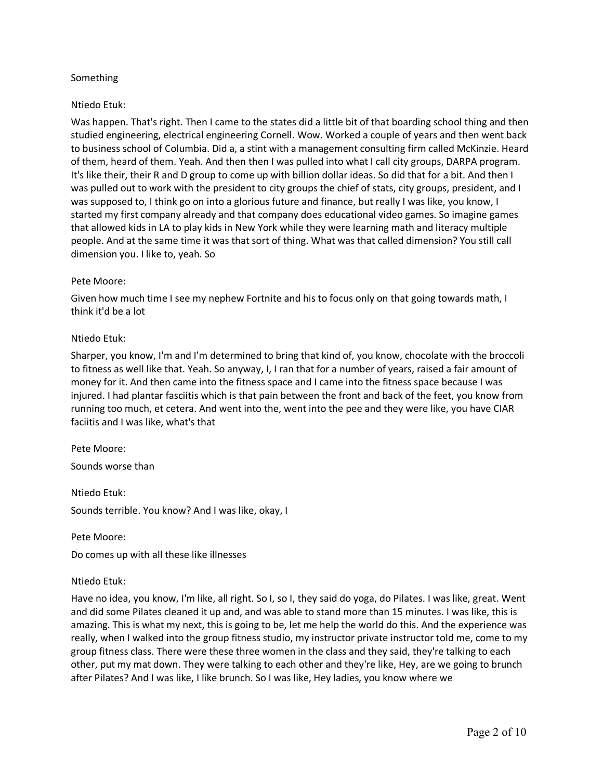## Something

## Ntiedo Etuk:

Was happen. That's right. Then I came to the states did a little bit of that boarding school thing and then studied engineering, electrical engineering Cornell. Wow. Worked a couple of years and then went back to business school of Columbia. Did a, a stint with a management consulting firm called McKinzie. Heard of them, heard of them. Yeah. And then then I was pulled into what I call city groups, DARPA program. It's like their, their R and D group to come up with billion dollar ideas. So did that for a bit. And then I was pulled out to work with the president to city groups the chief of stats, city groups, president, and I was supposed to, I think go on into a glorious future and finance, but really I was like, you know, I started my first company already and that company does educational video games. So imagine games that allowed kids in LA to play kids in New York while they were learning math and literacy multiple people. And at the same time it was that sort of thing. What was that called dimension? You still call dimension you. I like to, yeah. So

#### Pete Moore:

Given how much time I see my nephew Fortnite and his to focus only on that going towards math, I think it'd be a lot

#### Ntiedo Etuk:

Sharper, you know, I'm and I'm determined to bring that kind of, you know, chocolate with the broccoli to fitness as well like that. Yeah. So anyway, I, I ran that for a number of years, raised a fair amount of money for it. And then came into the fitness space and I came into the fitness space because I was injured. I had plantar fasciitis which is that pain between the front and back of the feet, you know from running too much, et cetera. And went into the, went into the pee and they were like, you have CIAR faciitis and I was like, what's that

#### Pete Moore:

Sounds worse than

Ntiedo Etuk: Sounds terrible. You know? And I was like, okay, I

Pete Moore:

Do comes up with all these like illnesses

#### Ntiedo Etuk:

Have no idea, you know, I'm like, all right. So I, so I, they said do yoga, do Pilates. I was like, great. Went and did some Pilates cleaned it up and, and was able to stand more than 15 minutes. I was like, this is amazing. This is what my next, this is going to be, let me help the world do this. And the experience was really, when I walked into the group fitness studio, my instructor private instructor told me, come to my group fitness class. There were these three women in the class and they said, they're talking to each other, put my mat down. They were talking to each other and they're like, Hey, are we going to brunch after Pilates? And I was like, I like brunch. So I was like, Hey ladies, you know where we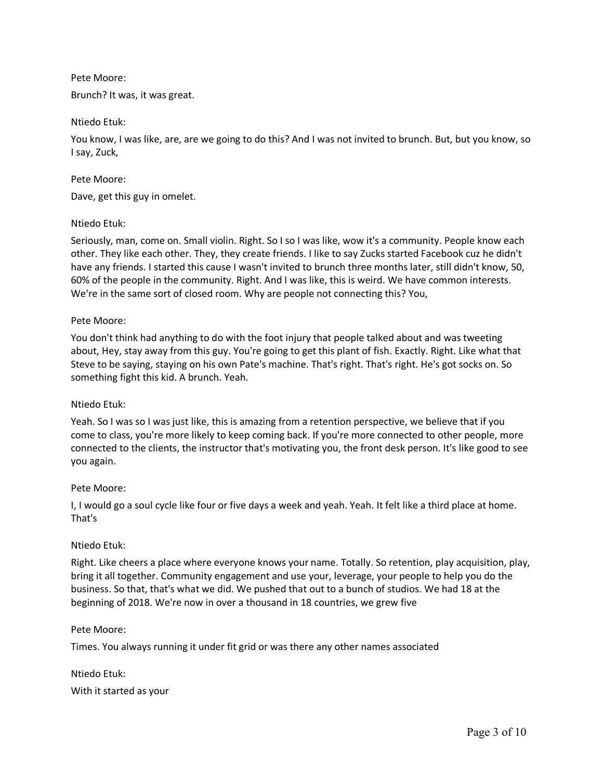## Pete Moore:

Brunch? It was, it was great.

## Ntiedo Etuk:

You know, I was like, are, are we going to do this? And I was not invited to brunch. But, but you know, so I say, Zuck,

#### Pete Moore:

Dave, get this guy in omelet.

## Ntiedo Etuk:

Seriously, man, come on. Small violin. Right. So I so I was like, wow it's a community. People know each other. They like each other. They, they create friends. I like to say Zucks started Facebook cuz he didn't have any friends. I started this cause I wasn't invited to brunch three months later, still didn't know, 50, 60% of the people in the community. Right. And I was like, this is weird. We have common interests. We're in the same sort of closed room. Why are people not connecting this? You,

## Pete Moore:

You don't think had anything to do with the foot injury that people talked about and was tweeting about, Hey, stay away from this guy. You're going to get this plant of fish. Exactly. Right. Like what that Steve to be saying, staying on his own Pate's machine. That's right. That's right. He's got socks on. So something fight this kid. A brunch. Yeah.

#### Ntiedo Etuk:

Yeah. So I was so I was just like, this is amazing from a retention perspective, we believe that if you come to class, you're more likely to keep coming back. If you're more connected to other people, more connected to the clients, the instructor that's motivating you, the front desk person. It's like good to see you again.

#### Pete Moore:

I, I would go a soul cycle like four or five days a week and yeah. Yeah. It felt like a third place at home. That's

## Ntiedo Etuk:

Right. Like cheers a place where everyone knows your name. Totally. So retention, play acquisition, play, bring it all together. Community engagement and use your, leverage, your people to help you do the business. So that, that's what we did. We pushed that out to a bunch of studios. We had 18 at the beginning of 2018. We're now in over a thousand in 18 countries, we grew five

#### Pete Moore:

Times. You always running it under fit grid or was there any other names associated

Ntiedo Etuk: With it started as your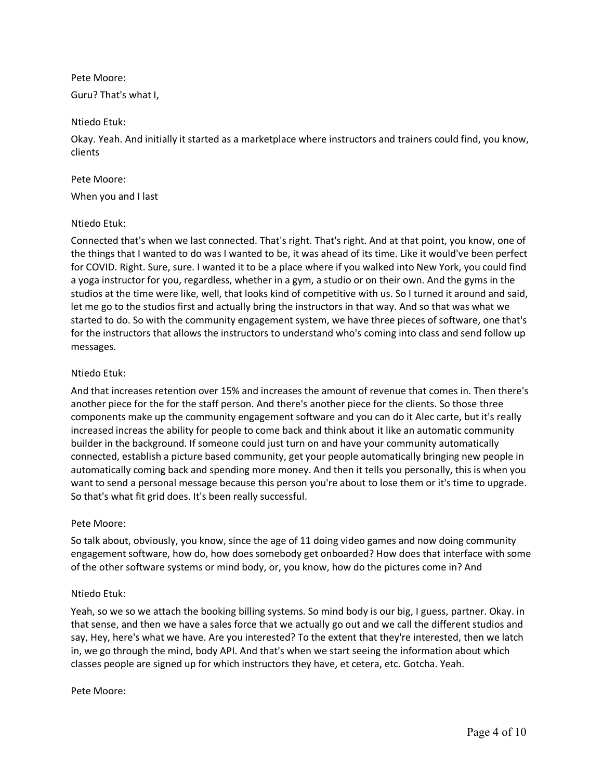Pete Moore:

Guru? That's what I,

## Ntiedo Etuk:

Okay. Yeah. And initially it started as a marketplace where instructors and trainers could find, you know, clients

## Pete Moore:

When you and I last

## Ntiedo Etuk:

Connected that's when we last connected. That's right. That's right. And at that point, you know, one of the things that I wanted to do was I wanted to be, it was ahead of its time. Like it would've been perfect for COVID. Right. Sure, sure. I wanted it to be a place where if you walked into New York, you could find a yoga instructor for you, regardless, whether in a gym, a studio or on their own. And the gyms in the studios at the time were like, well, that looks kind of competitive with us. So I turned it around and said, let me go to the studios first and actually bring the instructors in that way. And so that was what we started to do. So with the community engagement system, we have three pieces of software, one that's for the instructors that allows the instructors to understand who's coming into class and send follow up messages.

## Ntiedo Etuk:

And that increases retention over 15% and increases the amount of revenue that comes in. Then there's another piece for the for the staff person. And there's another piece for the clients. So those three components make up the community engagement software and you can do it Alec carte, but it's really increased increas the ability for people to come back and think about it like an automatic community builder in the background. If someone could just turn on and have your community automatically connected, establish a picture based community, get your people automatically bringing new people in automatically coming back and spending more money. And then it tells you personally, this is when you want to send a personal message because this person you're about to lose them or it's time to upgrade. So that's what fit grid does. It's been really successful.

#### Pete Moore:

So talk about, obviously, you know, since the age of 11 doing video games and now doing community engagement software, how do, how does somebody get onboarded? How does that interface with some of the other software systems or mind body, or, you know, how do the pictures come in? And

## Ntiedo Etuk:

Yeah, so we so we attach the booking billing systems. So mind body is our big, I guess, partner. Okay. in that sense, and then we have a sales force that we actually go out and we call the different studios and say, Hey, here's what we have. Are you interested? To the extent that they're interested, then we latch in, we go through the mind, body API. And that's when we start seeing the information about which classes people are signed up for which instructors they have, et cetera, etc. Gotcha. Yeah.

#### Pete Moore: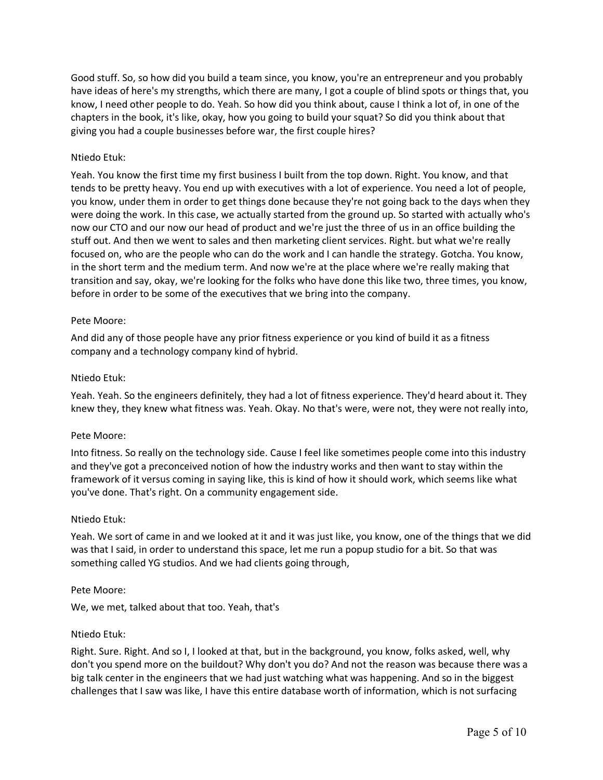Good stuff. So, so how did you build a team since, you know, you're an entrepreneur and you probably have ideas of here's my strengths, which there are many, I got a couple of blind spots or things that, you know, I need other people to do. Yeah. So how did you think about, cause I think a lot of, in one of the chapters in the book, it's like, okay, how you going to build your squat? So did you think about that giving you had a couple businesses before war, the first couple hires?

## Ntiedo Etuk:

Yeah. You know the first time my first business I built from the top down. Right. You know, and that tends to be pretty heavy. You end up with executives with a lot of experience. You need a lot of people, you know, under them in order to get things done because they're not going back to the days when they were doing the work. In this case, we actually started from the ground up. So started with actually who's now our CTO and our now our head of product and we're just the three of us in an office building the stuff out. And then we went to sales and then marketing client services. Right. but what we're really focused on, who are the people who can do the work and I can handle the strategy. Gotcha. You know, in the short term and the medium term. And now we're at the place where we're really making that transition and say, okay, we're looking for the folks who have done this like two, three times, you know, before in order to be some of the executives that we bring into the company.

## Pete Moore:

And did any of those people have any prior fitness experience or you kind of build it as a fitness company and a technology company kind of hybrid.

## Ntiedo Etuk:

Yeah. Yeah. So the engineers definitely, they had a lot of fitness experience. They'd heard about it. They knew they, they knew what fitness was. Yeah. Okay. No that's were, were not, they were not really into,

## Pete Moore:

Into fitness. So really on the technology side. Cause I feel like sometimes people come into this industry and they've got a preconceived notion of how the industry works and then want to stay within the framework of it versus coming in saying like, this is kind of how it should work, which seems like what you've done. That's right. On a community engagement side.

#### Ntiedo Etuk:

Yeah. We sort of came in and we looked at it and it was just like, you know, one of the things that we did was that I said, in order to understand this space, let me run a popup studio for a bit. So that was something called YG studios. And we had clients going through,

#### Pete Moore:

We, we met, talked about that too. Yeah, that's

#### Ntiedo Etuk:

Right. Sure. Right. And so I, I looked at that, but in the background, you know, folks asked, well, why don't you spend more on the buildout? Why don't you do? And not the reason was because there was a big talk center in the engineers that we had just watching what was happening. And so in the biggest challenges that I saw was like, I have this entire database worth of information, which is not surfacing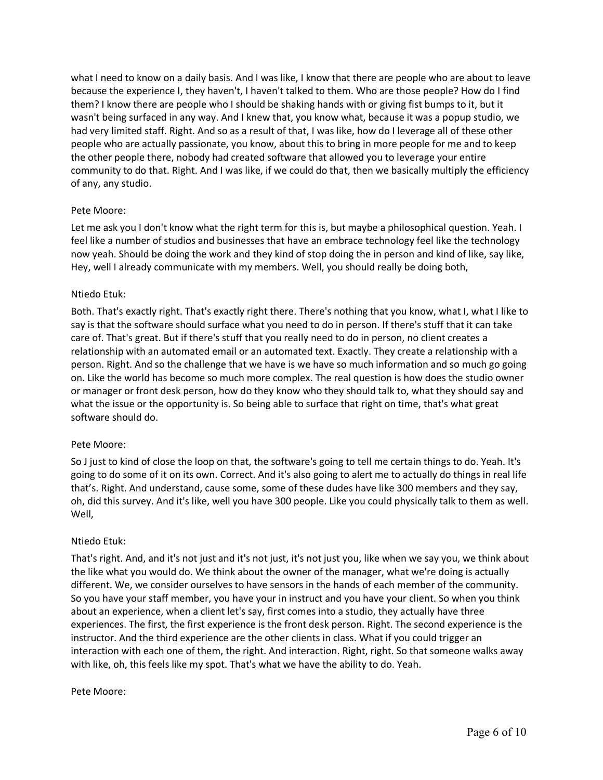what I need to know on a daily basis. And I was like, I know that there are people who are about to leave because the experience I, they haven't, I haven't talked to them. Who are those people? How do I find them? I know there are people who I should be shaking hands with or giving fist bumps to it, but it wasn't being surfaced in any way. And I knew that, you know what, because it was a popup studio, we had very limited staff. Right. And so as a result of that, I was like, how do I leverage all of these other people who are actually passionate, you know, about this to bring in more people for me and to keep the other people there, nobody had created software that allowed you to leverage your entire community to do that. Right. And I was like, if we could do that, then we basically multiply the efficiency of any, any studio.

## Pete Moore:

Let me ask you I don't know what the right term for this is, but maybe a philosophical question. Yeah. I feel like a number of studios and businesses that have an embrace technology feel like the technology now yeah. Should be doing the work and they kind of stop doing the in person and kind of like, say like, Hey, well I already communicate with my members. Well, you should really be doing both,

## Ntiedo Etuk:

Both. That's exactly right. That's exactly right there. There's nothing that you know, what I, what I like to say is that the software should surface what you need to do in person. If there's stuff that it can take care of. That's great. But if there's stuff that you really need to do in person, no client creates a relationship with an automated email or an automated text. Exactly. They create a relationship with a person. Right. And so the challenge that we have is we have so much information and so much go going on. Like the world has become so much more complex. The real question is how does the studio owner or manager or front desk person, how do they know who they should talk to, what they should say and what the issue or the opportunity is. So being able to surface that right on time, that's what great software should do.

## Pete Moore:

So J just to kind of close the loop on that, the software's going to tell me certain things to do. Yeah. It's going to do some of it on its own. Correct. And it's also going to alert me to actually do things in real life that's. Right. And understand, cause some, some of these dudes have like 300 members and they say, oh, did this survey. And it's like, well you have 300 people. Like you could physically talk to them as well. Well,

## Ntiedo Etuk:

That's right. And, and it's not just and it's not just, it's not just you, like when we say you, we think about the like what you would do. We think about the owner of the manager, what we're doing is actually different. We, we consider ourselves to have sensors in the hands of each member of the community. So you have your staff member, you have your in instruct and you have your client. So when you think about an experience, when a client let's say, first comes into a studio, they actually have three experiences. The first, the first experience is the front desk person. Right. The second experience is the instructor. And the third experience are the other clients in class. What if you could trigger an interaction with each one of them, the right. And interaction. Right, right. So that someone walks away with like, oh, this feels like my spot. That's what we have the ability to do. Yeah.

## Pete Moore: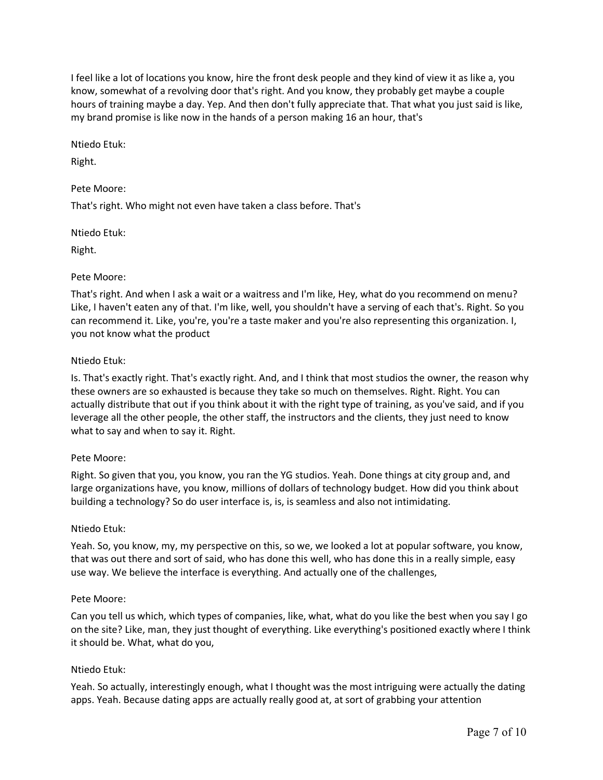I feel like a lot of locations you know, hire the front desk people and they kind of view it as like a, you know, somewhat of a revolving door that's right. And you know, they probably get maybe a couple hours of training maybe a day. Yep. And then don't fully appreciate that. That what you just said is like, my brand promise is like now in the hands of a person making 16 an hour, that's

Ntiedo Etuk:

Right.

## Pete Moore:

That's right. Who might not even have taken a class before. That's

Ntiedo Etuk:

Right.

## Pete Moore:

That's right. And when I ask a wait or a waitress and I'm like, Hey, what do you recommend on menu? Like, I haven't eaten any of that. I'm like, well, you shouldn't have a serving of each that's. Right. So you can recommend it. Like, you're, you're a taste maker and you're also representing this organization. I, you not know what the product

## Ntiedo Etuk:

Is. That's exactly right. That's exactly right. And, and I think that most studios the owner, the reason why these owners are so exhausted is because they take so much on themselves. Right. Right. You can actually distribute that out if you think about it with the right type of training, as you've said, and if you leverage all the other people, the other staff, the instructors and the clients, they just need to know what to say and when to say it. Right.

## Pete Moore:

Right. So given that you, you know, you ran the YG studios. Yeah. Done things at city group and, and large organizations have, you know, millions of dollars of technology budget. How did you think about building a technology? So do user interface is, is, is seamless and also not intimidating.

## Ntiedo Etuk:

Yeah. So, you know, my, my perspective on this, so we, we looked a lot at popular software, you know, that was out there and sort of said, who has done this well, who has done this in a really simple, easy use way. We believe the interface is everything. And actually one of the challenges,

## Pete Moore:

Can you tell us which, which types of companies, like, what, what do you like the best when you say I go on the site? Like, man, they just thought of everything. Like everything's positioned exactly where I think it should be. What, what do you,

## Ntiedo Etuk:

Yeah. So actually, interestingly enough, what I thought was the most intriguing were actually the dating apps. Yeah. Because dating apps are actually really good at, at sort of grabbing your attention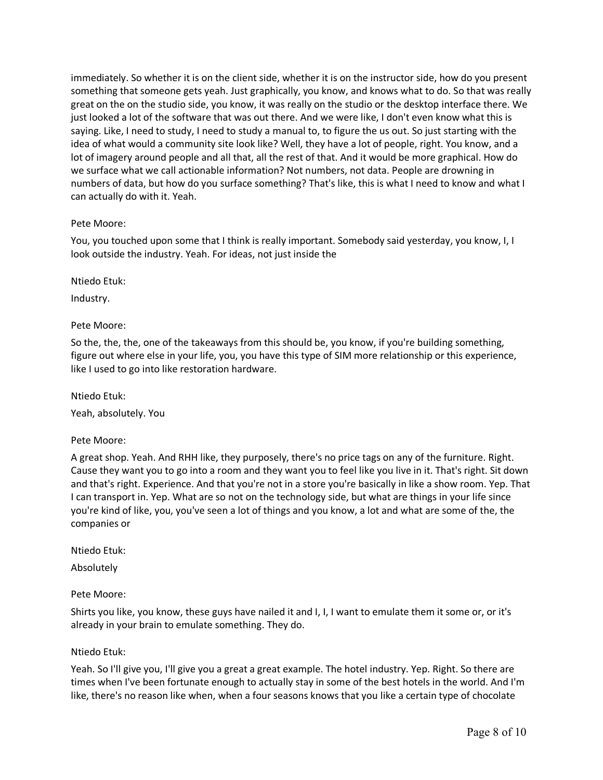immediately. So whether it is on the client side, whether it is on the instructor side, how do you present something that someone gets yeah. Just graphically, you know, and knows what to do. So that was really great on the on the studio side, you know, it was really on the studio or the desktop interface there. We just looked a lot of the software that was out there. And we were like, I don't even know what this is saying. Like, I need to study, I need to study a manual to, to figure the us out. So just starting with the idea of what would a community site look like? Well, they have a lot of people, right. You know, and a lot of imagery around people and all that, all the rest of that. And it would be more graphical. How do we surface what we call actionable information? Not numbers, not data. People are drowning in numbers of data, but how do you surface something? That's like, this is what I need to know and what I can actually do with it. Yeah.

## Pete Moore:

You, you touched upon some that I think is really important. Somebody said yesterday, you know, I, I look outside the industry. Yeah. For ideas, not just inside the

Ntiedo Etuk:

Industry.

## Pete Moore:

So the, the, the, one of the takeaways from this should be, you know, if you're building something, figure out where else in your life, you, you have this type of SIM more relationship or this experience, like I used to go into like restoration hardware.

Ntiedo Etuk:

Yeah, absolutely. You

Pete Moore:

A great shop. Yeah. And RHH like, they purposely, there's no price tags on any of the furniture. Right. Cause they want you to go into a room and they want you to feel like you live in it. That's right. Sit down and that's right. Experience. And that you're not in a store you're basically in like a show room. Yep. That I can transport in. Yep. What are so not on the technology side, but what are things in your life since you're kind of like, you, you've seen a lot of things and you know, a lot and what are some of the, the companies or

Ntiedo Etuk:

Absolutely

Pete Moore:

Shirts you like, you know, these guys have nailed it and I, I, I want to emulate them it some or, or it's already in your brain to emulate something. They do.

#### Ntiedo Etuk:

Yeah. So I'll give you, I'll give you a great a great example. The hotel industry. Yep. Right. So there are times when I've been fortunate enough to actually stay in some of the best hotels in the world. And I'm like, there's no reason like when, when a four seasons knows that you like a certain type of chocolate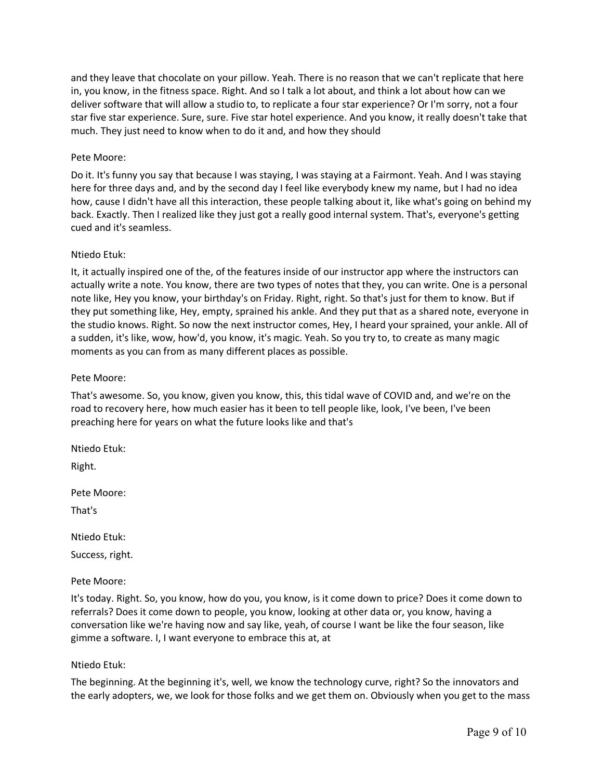and they leave that chocolate on your pillow. Yeah. There is no reason that we can't replicate that here in, you know, in the fitness space. Right. And so I talk a lot about, and think a lot about how can we deliver software that will allow a studio to, to replicate a four star experience? Or I'm sorry, not a four star five star experience. Sure, sure. Five star hotel experience. And you know, it really doesn't take that much. They just need to know when to do it and, and how they should

## Pete Moore:

Do it. It's funny you say that because I was staying, I was staying at a Fairmont. Yeah. And I was staying here for three days and, and by the second day I feel like everybody knew my name, but I had no idea how, cause I didn't have all this interaction, these people talking about it, like what's going on behind my back. Exactly. Then I realized like they just got a really good internal system. That's, everyone's getting cued and it's seamless.

## Ntiedo Etuk:

It, it actually inspired one of the, of the features inside of our instructor app where the instructors can actually write a note. You know, there are two types of notes that they, you can write. One is a personal note like, Hey you know, your birthday's on Friday. Right, right. So that's just for them to know. But if they put something like, Hey, empty, sprained his ankle. And they put that as a shared note, everyone in the studio knows. Right. So now the next instructor comes, Hey, I heard your sprained, your ankle. All of a sudden, it's like, wow, how'd, you know, it's magic. Yeah. So you try to, to create as many magic moments as you can from as many different places as possible.

## Pete Moore:

That's awesome. So, you know, given you know, this, this tidal wave of COVID and, and we're on the road to recovery here, how much easier has it been to tell people like, look, I've been, I've been preaching here for years on what the future looks like and that's

Ntiedo Etuk:

Right.

Pete Moore:

That's

Ntiedo Etuk:

Success, right.

## Pete Moore:

It's today. Right. So, you know, how do you, you know, is it come down to price? Does it come down to referrals? Does it come down to people, you know, looking at other data or, you know, having a conversation like we're having now and say like, yeah, of course I want be like the four season, like gimme a software. I, I want everyone to embrace this at, at

## Ntiedo Etuk:

The beginning. At the beginning it's, well, we know the technology curve, right? So the innovators and the early adopters, we, we look for those folks and we get them on. Obviously when you get to the mass